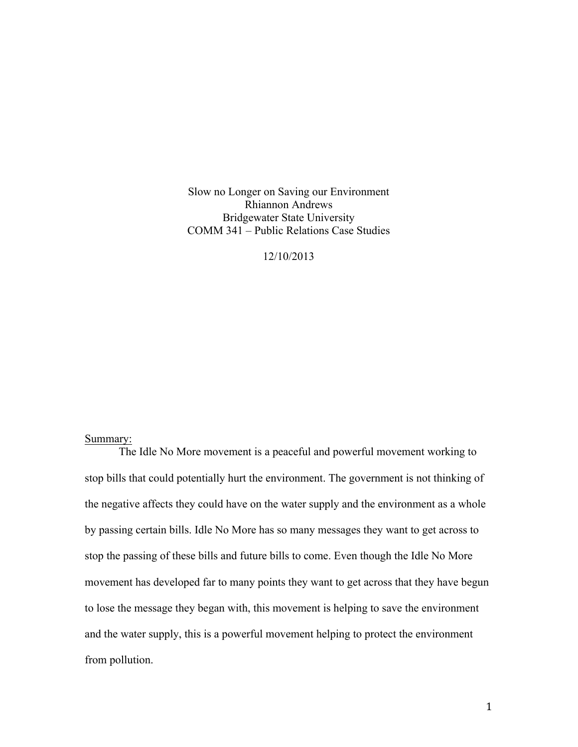Slow no Longer on Saving our Environment Rhiannon Andrews Bridgewater State University COMM 341 – Public Relations Case Studies

12/10/2013

# Summary:

The Idle No More movement is a peaceful and powerful movement working to stop bills that could potentially hurt the environment. The government is not thinking of the negative affects they could have on the water supply and the environment as a whole by passing certain bills. Idle No More has so many messages they want to get across to stop the passing of these bills and future bills to come. Even though the Idle No More movement has developed far to many points they want to get across that they have begun to lose the message they began with, this movement is helping to save the environment and the water supply, this is a powerful movement helping to protect the environment from pollution.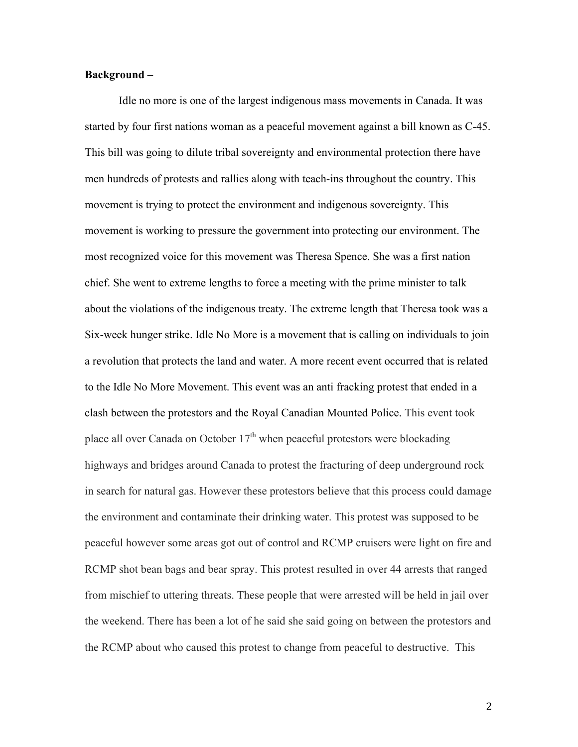## **Background –**

Idle no more is one of the largest indigenous mass movements in Canada. It was started by four first nations woman as a peaceful movement against a bill known as C-45. This bill was going to dilute tribal sovereignty and environmental protection there have men hundreds of protests and rallies along with teach-ins throughout the country. This movement is trying to protect the environment and indigenous sovereignty. This movement is working to pressure the government into protecting our environment. The most recognized voice for this movement was Theresa Spence. She was a first nation chief. She went to extreme lengths to force a meeting with the prime minister to talk about the violations of the indigenous treaty. The extreme length that Theresa took was a Six-week hunger strike. Idle No More is a movement that is calling on individuals to join a revolution that protects the land and water. A more recent event occurred that is related to the Idle No More Movement. This event was an anti fracking protest that ended in a clash between the protestors and the Royal Canadian Mounted Police. This event took place all over Canada on October  $17<sup>th</sup>$  when peaceful protestors were blockading highways and bridges around Canada to protest the fracturing of deep underground rock in search for natural gas. However these protestors believe that this process could damage the environment and contaminate their drinking water. This protest was supposed to be peaceful however some areas got out of control and RCMP cruisers were light on fire and RCMP shot bean bags and bear spray. This protest resulted in over 44 arrests that ranged from mischief to uttering threats. These people that were arrested will be held in jail over the weekend. There has been a lot of he said she said going on between the protestors and the RCMP about who caused this protest to change from peaceful to destructive. This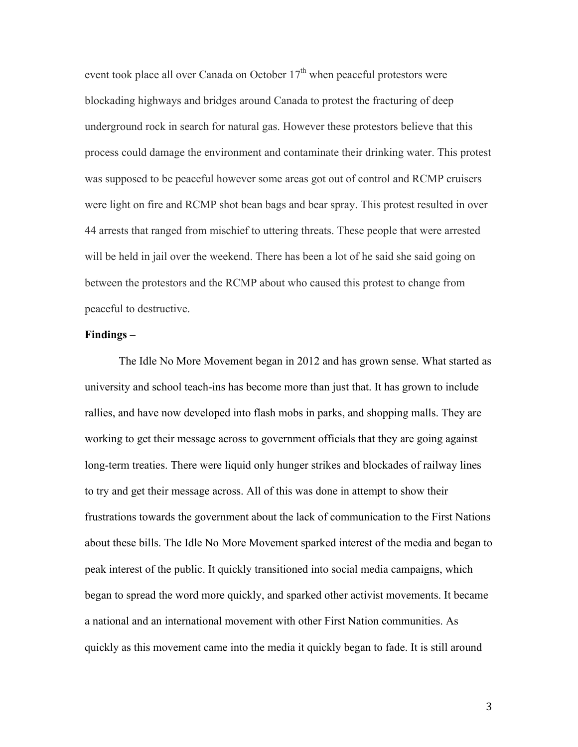event took place all over Canada on October  $17<sup>th</sup>$  when peaceful protestors were blockading highways and bridges around Canada to protest the fracturing of deep underground rock in search for natural gas. However these protestors believe that this process could damage the environment and contaminate their drinking water. This protest was supposed to be peaceful however some areas got out of control and RCMP cruisers were light on fire and RCMP shot bean bags and bear spray. This protest resulted in over 44 arrests that ranged from mischief to uttering threats. These people that were arrested will be held in jail over the weekend. There has been a lot of he said she said going on between the protestors and the RCMP about who caused this protest to change from peaceful to destructive.

#### **Findings –**

The Idle No More Movement began in 2012 and has grown sense. What started as university and school teach-ins has become more than just that. It has grown to include rallies, and have now developed into flash mobs in parks, and shopping malls. They are working to get their message across to government officials that they are going against long-term treaties. There were liquid only hunger strikes and blockades of railway lines to try and get their message across. All of this was done in attempt to show their frustrations towards the government about the lack of communication to the First Nations about these bills. The Idle No More Movement sparked interest of the media and began to peak interest of the public. It quickly transitioned into social media campaigns, which began to spread the word more quickly, and sparked other activist movements. It became a national and an international movement with other First Nation communities. As quickly as this movement came into the media it quickly began to fade. It is still around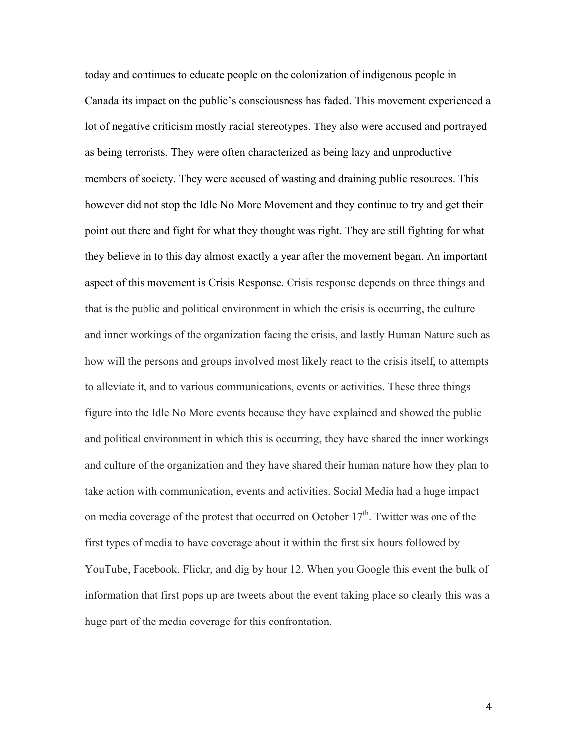today and continues to educate people on the colonization of indigenous people in Canada its impact on the public's consciousness has faded. This movement experienced a lot of negative criticism mostly racial stereotypes. They also were accused and portrayed as being terrorists. They were often characterized as being lazy and unproductive members of society. They were accused of wasting and draining public resources. This however did not stop the Idle No More Movement and they continue to try and get their point out there and fight for what they thought was right. They are still fighting for what they believe in to this day almost exactly a year after the movement began. An important aspect of this movement is Crisis Response. Crisis response depends on three things and that is the public and political environment in which the crisis is occurring, the culture and inner workings of the organization facing the crisis, and lastly Human Nature such as how will the persons and groups involved most likely react to the crisis itself, to attempts to alleviate it, and to various communications, events or activities. These three things figure into the Idle No More events because they have explained and showed the public and political environment in which this is occurring, they have shared the inner workings and culture of the organization and they have shared their human nature how they plan to take action with communication, events and activities. Social Media had a huge impact on media coverage of the protest that occurred on October  $17<sup>th</sup>$ . Twitter was one of the first types of media to have coverage about it within the first six hours followed by YouTube, Facebook, Flickr, and dig by hour 12. When you Google this event the bulk of information that first pops up are tweets about the event taking place so clearly this was a huge part of the media coverage for this confrontation.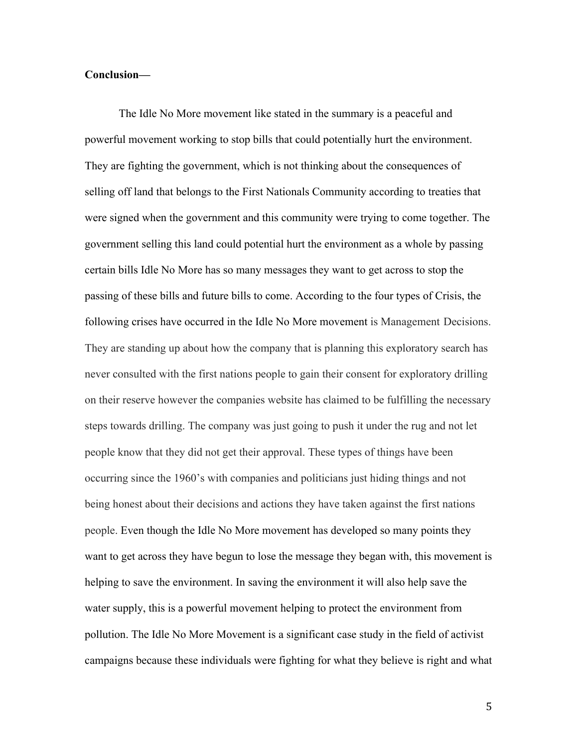### **Conclusion—**

The Idle No More movement like stated in the summary is a peaceful and powerful movement working to stop bills that could potentially hurt the environment. They are fighting the government, which is not thinking about the consequences of selling off land that belongs to the First Nationals Community according to treaties that were signed when the government and this community were trying to come together. The government selling this land could potential hurt the environment as a whole by passing certain bills Idle No More has so many messages they want to get across to stop the passing of these bills and future bills to come. According to the four types of Crisis, the following crises have occurred in the Idle No More movement is Management Decisions. They are standing up about how the company that is planning this exploratory search has never consulted with the first nations people to gain their consent for exploratory drilling on their reserve however the companies website has claimed to be fulfilling the necessary steps towards drilling. The company was just going to push it under the rug and not let people know that they did not get their approval. These types of things have been occurring since the 1960's with companies and politicians just hiding things and not being honest about their decisions and actions they have taken against the first nations people. Even though the Idle No More movement has developed so many points they want to get across they have begun to lose the message they began with, this movement is helping to save the environment. In saving the environment it will also help save the water supply, this is a powerful movement helping to protect the environment from pollution. The Idle No More Movement is a significant case study in the field of activist campaigns because these individuals were fighting for what they believe is right and what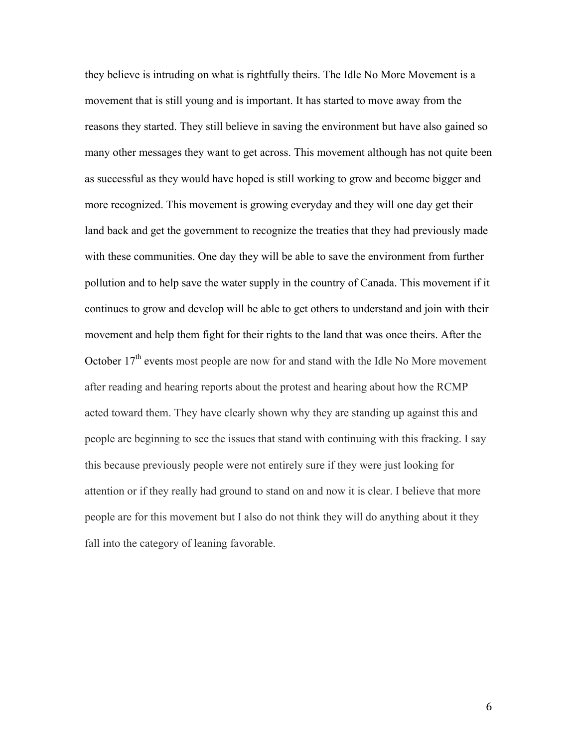they believe is intruding on what is rightfully theirs. The Idle No More Movement is a movement that is still young and is important. It has started to move away from the reasons they started. They still believe in saving the environment but have also gained so many other messages they want to get across. This movement although has not quite been as successful as they would have hoped is still working to grow and become bigger and more recognized. This movement is growing everyday and they will one day get their land back and get the government to recognize the treaties that they had previously made with these communities. One day they will be able to save the environment from further pollution and to help save the water supply in the country of Canada. This movement if it continues to grow and develop will be able to get others to understand and join with their movement and help them fight for their rights to the land that was once theirs. After the October  $17<sup>th</sup>$  events most people are now for and stand with the Idle No More movement after reading and hearing reports about the protest and hearing about how the RCMP acted toward them. They have clearly shown why they are standing up against this and people are beginning to see the issues that stand with continuing with this fracking. I say this because previously people were not entirely sure if they were just looking for attention or if they really had ground to stand on and now it is clear. I believe that more people are for this movement but I also do not think they will do anything about it they fall into the category of leaning favorable.